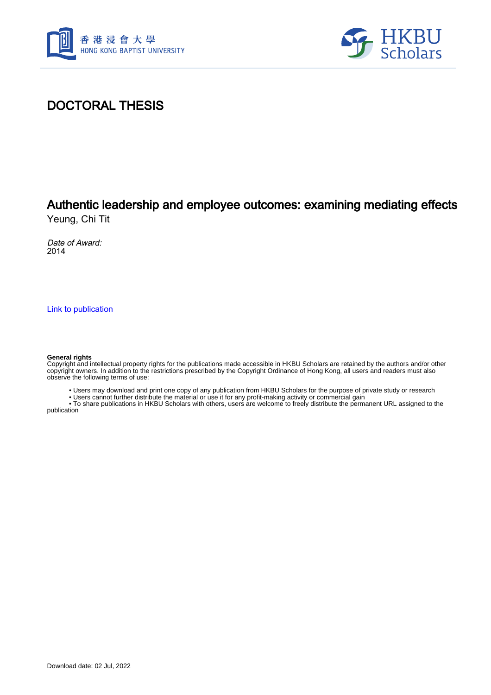



## DOCTORAL THESIS

# Authentic leadership and employee outcomes: examining mediating effects

Yeung, Chi Tit

Date of Award: 2014

[Link to publication](https://scholars.hkbu.edu.hk/en/studentTheses/9a9198a1-ec85-47d9-a5cb-011f0c908295)

#### **General rights**

Copyright and intellectual property rights for the publications made accessible in HKBU Scholars are retained by the authors and/or other copyright owners. In addition to the restrictions prescribed by the Copyright Ordinance of Hong Kong, all users and readers must also observe the following terms of use:

• Users may download and print one copy of any publication from HKBU Scholars for the purpose of private study or research

• Users cannot further distribute the material or use it for any profit-making activity or commercial gain

 • To share publications in HKBU Scholars with others, users are welcome to freely distribute the permanent URL assigned to the publication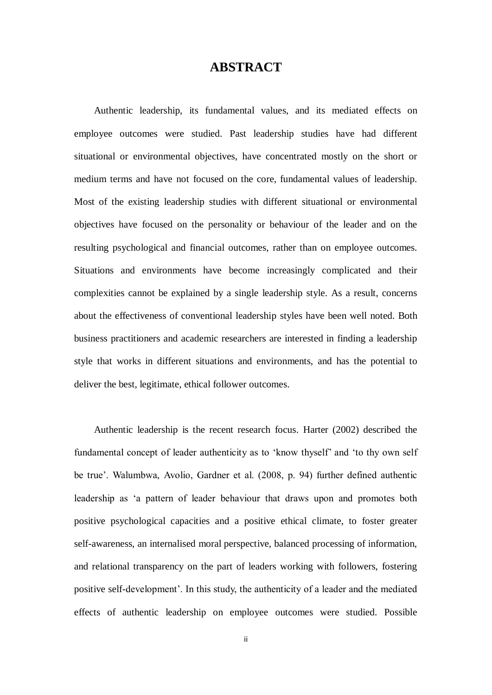### **ABSTRACT**

Authentic leadership, its fundamental values, and its mediated effects on employee outcomes were studied. Past leadership studies have had different situational or environmental objectives, have concentrated mostly on the short or medium terms and have not focused on the core, fundamental values of leadership. Most of the existing leadership studies with different situational or environmental objectives have focused on the personality or behaviour of the leader and on the resulting psychological and financial outcomes, rather than on employee outcomes. Situations and environments have become increasingly complicated and their complexities cannot be explained by a single leadership style. As a result, concerns about the effectiveness of conventional leadership styles have been well noted. Both business practitioners and academic researchers are interested in finding a leadership style that works in different situations and environments, and has the potential to deliver the best, legitimate, ethical follower outcomes.

Authentic leadership is the recent research focus. Harter (2002) described the fundamental concept of leader authenticity as to 'know thyself' and 'to thy own self be true'. Walumbwa, Avolio, Gardner et al. (2008, p. 94) further defined authentic leadership as 'a pattern of leader behaviour that draws upon and promotes both positive psychological capacities and a positive ethical climate, to foster greater self-awareness, an internalised moral perspective, balanced processing of information, and relational transparency on the part of leaders working with followers, fostering positive self-development'. In this study, the authenticity of a leader and the mediated effects of authentic leadership on employee outcomes were studied. Possible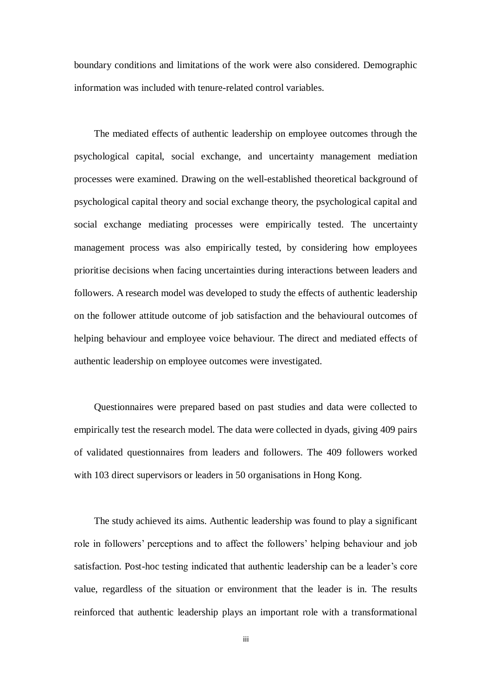boundary conditions and limitations of the work were also considered. Demographic information was included with tenure-related control variables.

The mediated effects of authentic leadership on employee outcomes through the psychological capital, social exchange, and uncertainty management mediation processes were examined. Drawing on the well-established theoretical background of psychological capital theory and social exchange theory, the psychological capital and social exchange mediating processes were empirically tested. The uncertainty management process was also empirically tested, by considering how employees prioritise decisions when facing uncertainties during interactions between leaders and followers. A research model was developed to study the effects of authentic leadership on the follower attitude outcome of job satisfaction and the behavioural outcomes of helping behaviour and employee voice behaviour. The direct and mediated effects of authentic leadership on employee outcomes were investigated.

Questionnaires were prepared based on past studies and data were collected to empirically test the research model. The data were collected in dyads, giving 409 pairs of validated questionnaires from leaders and followers. The 409 followers worked with 103 direct supervisors or leaders in 50 organisations in Hong Kong.

The study achieved its aims. Authentic leadership was found to play a significant role in followers' perceptions and to affect the followers' helping behaviour and job satisfaction. Post-hoc testing indicated that authentic leadership can be a leader's core value, regardless of the situation or environment that the leader is in. The results reinforced that authentic leadership plays an important role with a transformational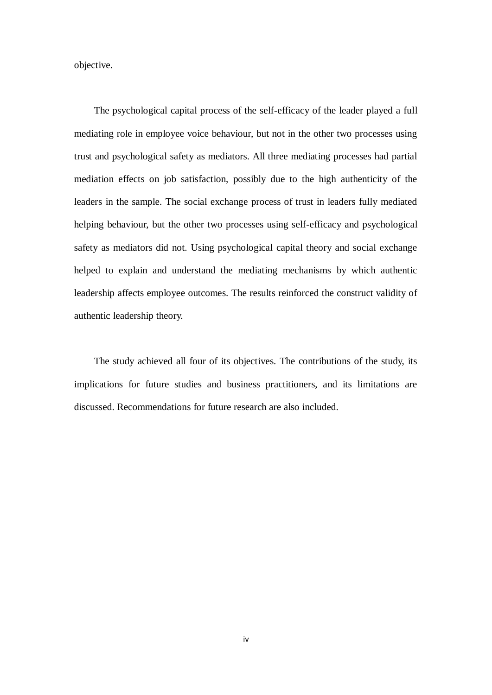objective.

The psychological capital process of the self-efficacy of the leader played a full mediating role in employee voice behaviour, but not in the other two processes using trust and psychological safety as mediators. All three mediating processes had partial mediation effects on job satisfaction, possibly due to the high authenticity of the leaders in the sample. The social exchange process of trust in leaders fully mediated helping behaviour, but the other two processes using self-efficacy and psychological safety as mediators did not. Using psychological capital theory and social exchange helped to explain and understand the mediating mechanisms by which authentic leadership affects employee outcomes. The results reinforced the construct validity of authentic leadership theory.

The study achieved all four of its objectives. The contributions of the study, its implications for future studies and business practitioners, and its limitations are discussed. Recommendations for future research are also included.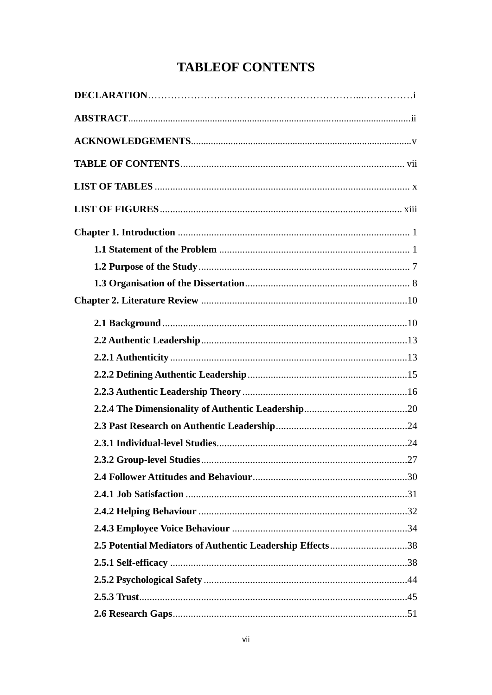## **TABLEOF CONTENTS**

<span id="page-4-0"></span>

| 2.5 Potential Mediators of Authentic Leadership Effects38 |  |
|-----------------------------------------------------------|--|
|                                                           |  |
|                                                           |  |
|                                                           |  |
|                                                           |  |